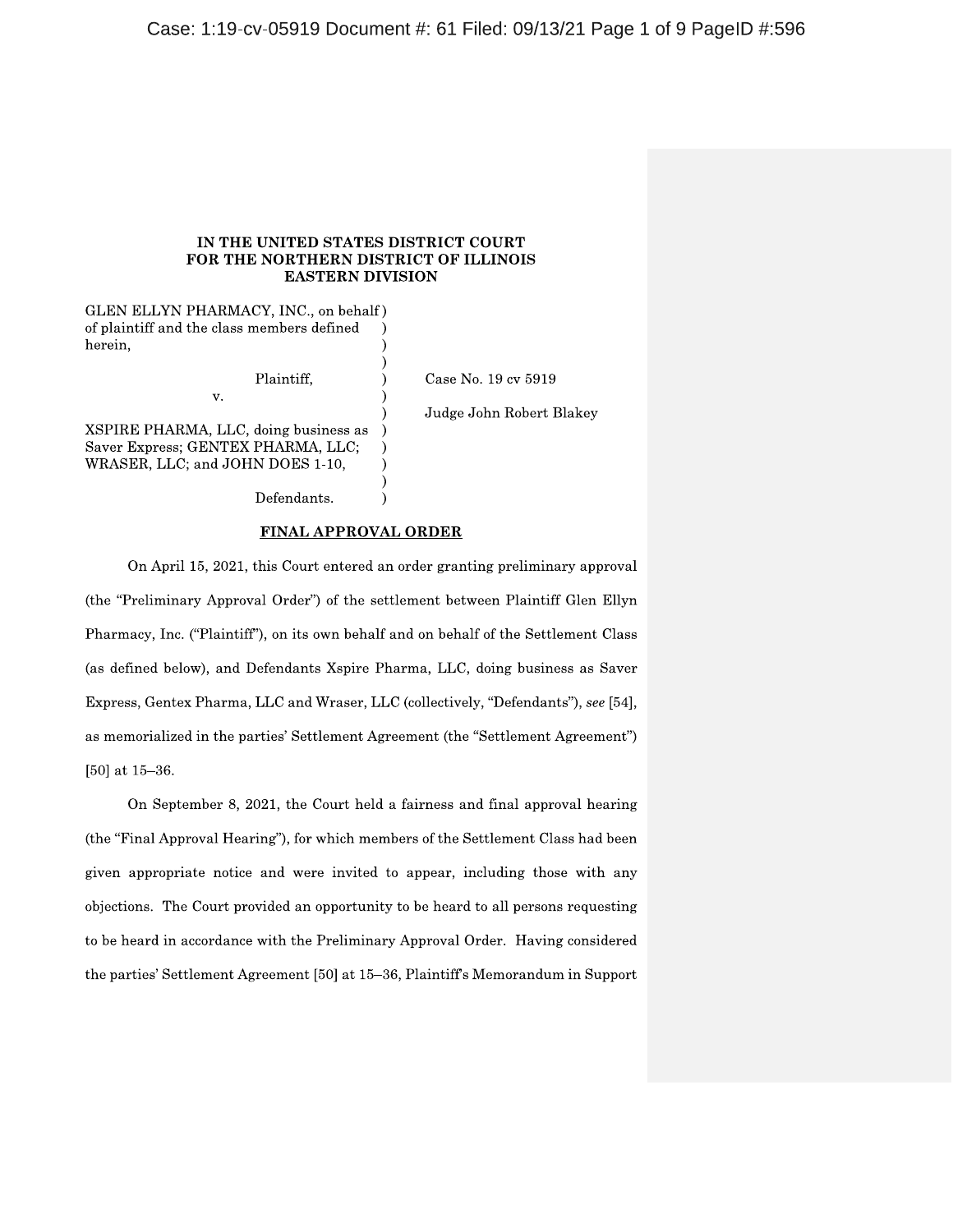## IN THE UNITED STATES DISTRICT COURT FOR THE NORTHERN DISTRICT OF ILLINOIS **EASTERN DIVISION**

GLEN ELLYN PHARMACY, INC., on behalf) of plaintiff and the class members defined herein,

Plaintiff.

Defendants.

XSPIRE PHARMA, LLC, doing business as Saver Express; GENTEX PHARMA, LLC; WRASER, LLC; and JOHN DOES 1-10,

v.

Judge John Robert Blakey

Case No. 19 cv 5919

 $\lambda$ 

On April 15, 2021, this Court entered an order granting preliminary approval (the "Preliminary Approval Order") of the settlement between Plaintiff Glen Ellyn Pharmacy, Inc. ("Plaintiff"), on its own behalf and on behalf of the Settlement Class (as defined below), and Defendants Xspire Pharma, LLC, doing business as Saver Express, Gentex Pharma, LLC and Wraser, LLC (collectively, "Defendants"), see [54], as memorialized in the parties' Settlement Agreement (the "Settlement Agreement") [50] at  $15-36$ .

**FINAL APPROVAL ORDER** 

On September 8, 2021, the Court held a fairness and final approval hearing (the "Final Approval Hearing"), for which members of the Settlement Class had been given appropriate notice and were invited to appear, including those with any objections. The Court provided an opportunity to be heard to all persons requesting to be heard in accordance with the Preliminary Approval Order. Having considered the parties' Settlement Agreement [50] at 15–36, Plaintiff's Memorandum in Support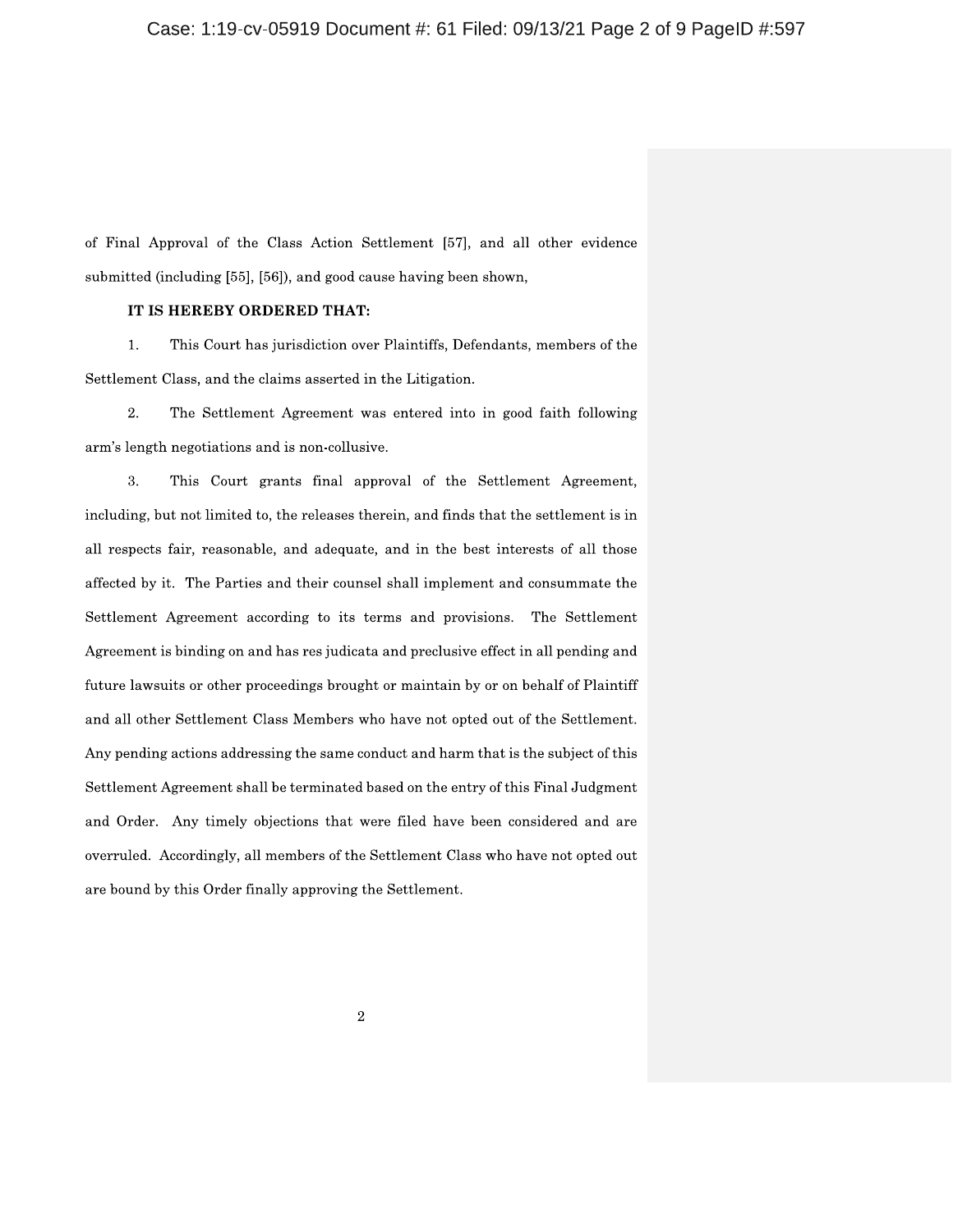of Final Approval of the Class Action Settlement [57], and all other evidence submitted (including [55], [56]), and good cause having been shown,

# IT IS HEREBY ORDERED THAT:

1. This Court has jurisdiction over Plaintiffs, Defendants, members of the Settlement Class, and the claims asserted in the Litigation.

2. The Settlement Agreement was entered into in good faith following arm's length negotiations and is non-collusive.

3. This Court grants final approval of the Settlement Agreement, including, but not limited to, the releases therein, and finds that the settlement is in all respects fair, reasonable, and adequate, and in the best interests of all those affected by it. The Parties and their counsel shall implement and consummate the Settlement Agreement according to its terms and provisions. The Settlement Agreement is binding on and has res judicata and preclusive effect in all pending and future lawsuits or other proceedings brought or maintain by or on behalf of Plaintiff and all other Settlement Class Members who have not opted out of the Settlement. Any pending actions addressing the same conduct and harm that is the subject of this Settlement Agreement shall be terminated based on the entry of this Final Judgment and Order. Any timely objections that were filed have been considered and are overruled. Accordingly, all members of the Settlement Class who have not opted out are bound by this Order finally approving the Settlement.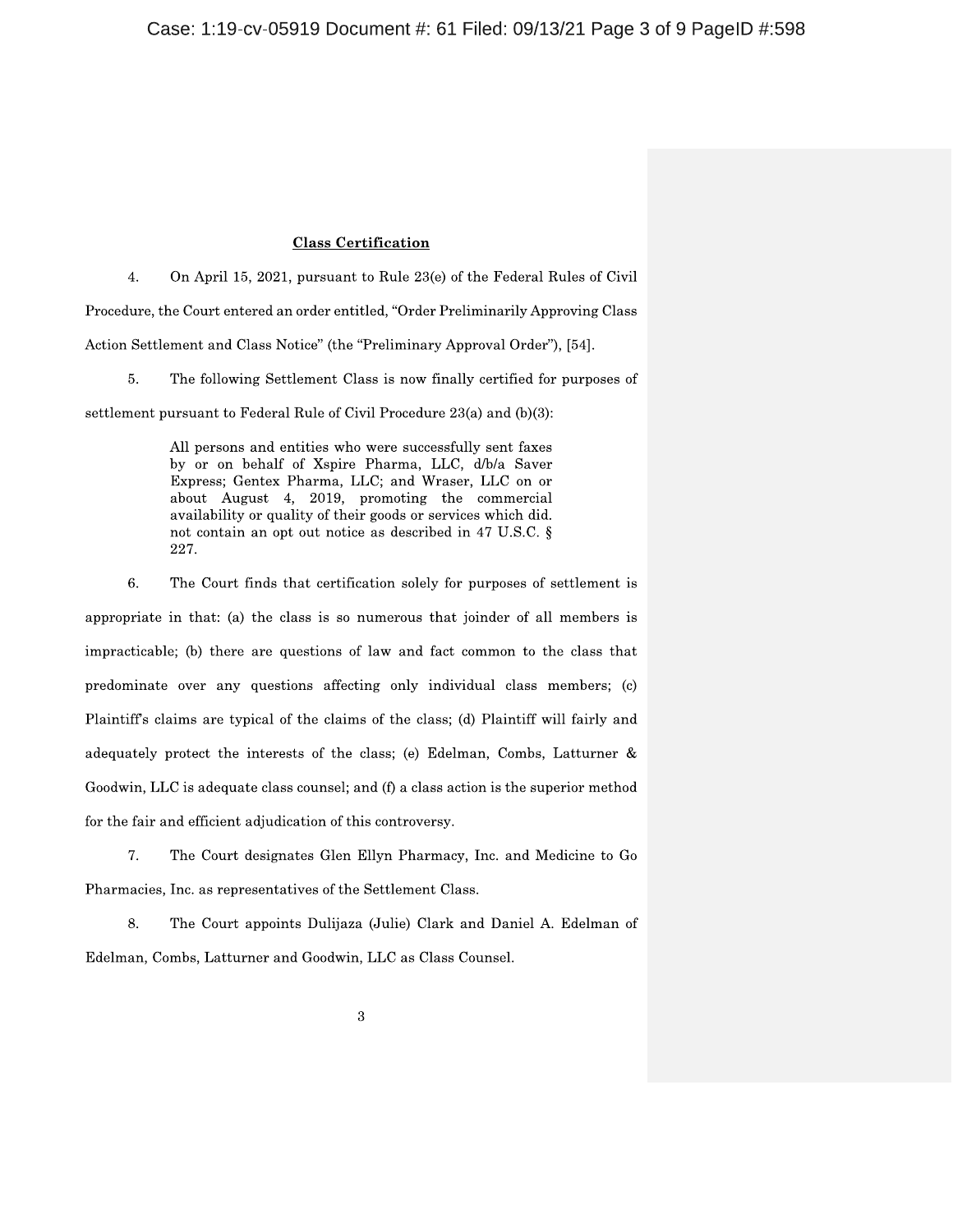## **Class Certification**

4. On April 15, 2021, pursuant to Rule 23(e) of the Federal Rules of Civil Procedure, the Court entered an order entitled, "Order Preliminarily Approving Class Action Settlement and Class Notice" (the "Preliminary Approval Order"), [54].

5. The following Settlement Class is now finally certified for purposes of

settlement pursuant to Federal Rule of Civil Procedure 23(a) and (b)(3):

All persons and entities who were successfully sent faxes by or on behalf of Xspire Pharma, LLC, d/b/a Saver Express; Gentex Pharma, LLC; and Wraser, LLC on or about August 4, 2019, promoting the commercial availability or quality of their goods or services which did. not contain an opt out notice as described in 47 U.S.C. § 227.

6. The Court finds that certification solely for purposes of settlement is appropriate in that: (a) the class is so numerous that joinder of all members is impracticable; (b) there are questions of law and fact common to the class that predominate over any questions affecting only individual class members; (c) Plaintiff's claims are typical of the claims of the class; (d) Plaintiff will fairly and adequately protect the interests of the class; (e) Edelman, Combs, Latturner & Goodwin, LLC is adequate class counsel; and (f) a class action is the superior method for the fair and efficient adjudication of this controversy.

 $7.$ The Court designates Glen Ellyn Pharmacy, Inc. and Medicine to Go Pharmacies, Inc. as representatives of the Settlement Class.

8. The Court appoints Dulijaza (Julie) Clark and Daniel A. Edelman of Edelman, Combs, Latturner and Goodwin, LLC as Class Counsel.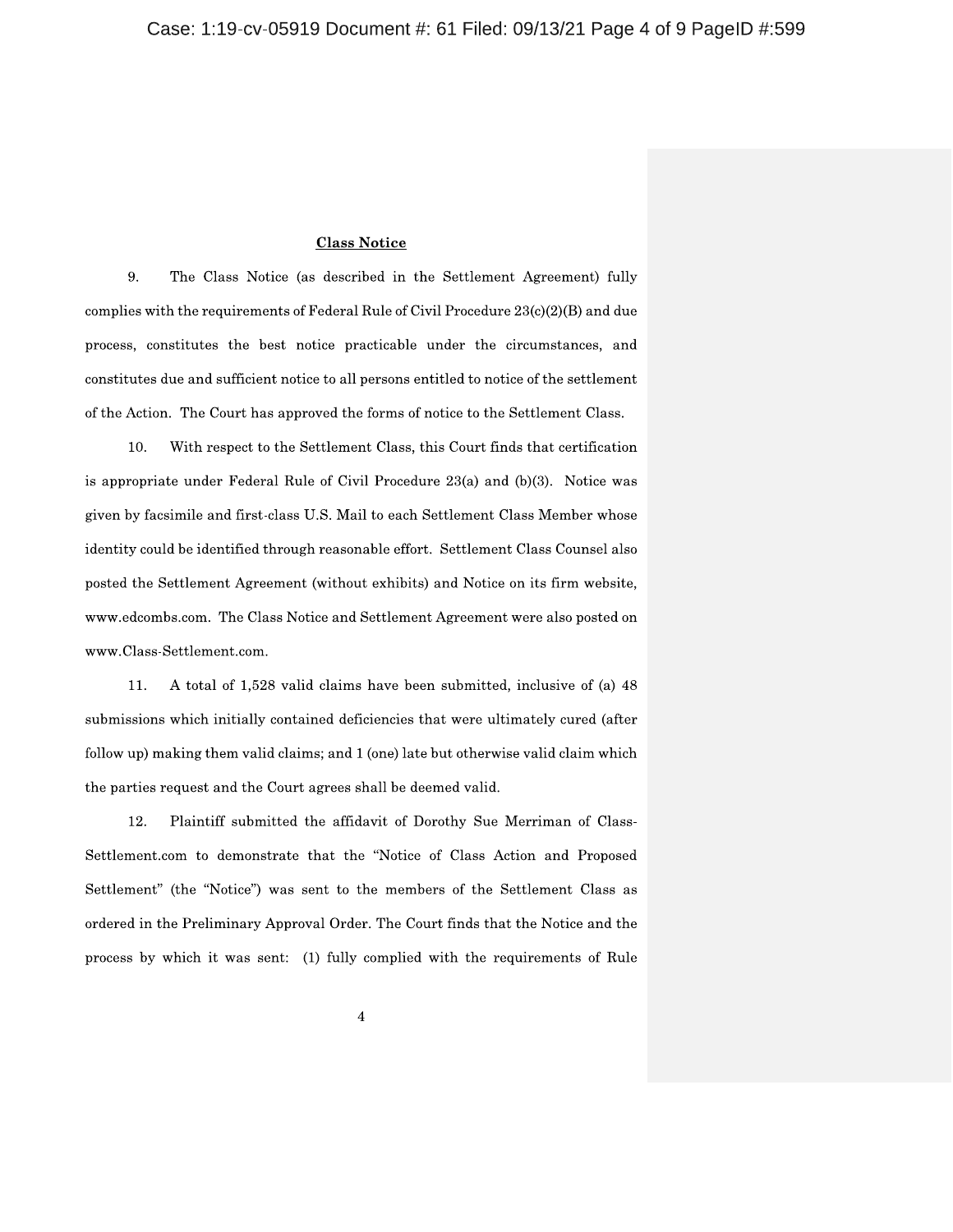## **Class Notice**

The Class Notice (as described in the Settlement Agreement) fully 9. complies with the requirements of Federal Rule of Civil Procedure  $23(c)(2)(B)$  and due process, constitutes the best notice practicable under the circumstances, and constitutes due and sufficient notice to all persons entitled to notice of the settlement of the Action. The Court has approved the forms of notice to the Settlement Class.

10. With respect to the Settlement Class, this Court finds that certification is appropriate under Federal Rule of Civil Procedure 23(a) and (b)(3). Notice was given by facsimile and first-class U.S. Mail to each Settlement Class Member whose identity could be identified through reasonable effort. Settlement Class Counsel also posted the Settlement Agreement (without exhibits) and Notice on its firm website, www.edcombs.com. The Class Notice and Settlement Agreement were also posted on www.Class-Settlement.com.

11. A total of 1,528 valid claims have been submitted, inclusive of (a) 48 submissions which initially contained deficiencies that were ultimately cured (after follow up) making them valid claims; and 1 (one) late but otherwise valid claim which the parties request and the Court agrees shall be deemed valid.

12. Plaintiff submitted the affidavit of Dorothy Sue Merriman of Class-Settlement.com to demonstrate that the "Notice of Class Action and Proposed Settlement" (the "Notice") was sent to the members of the Settlement Class as ordered in the Preliminary Approval Order. The Court finds that the Notice and the process by which it was sent: (1) fully complied with the requirements of Rule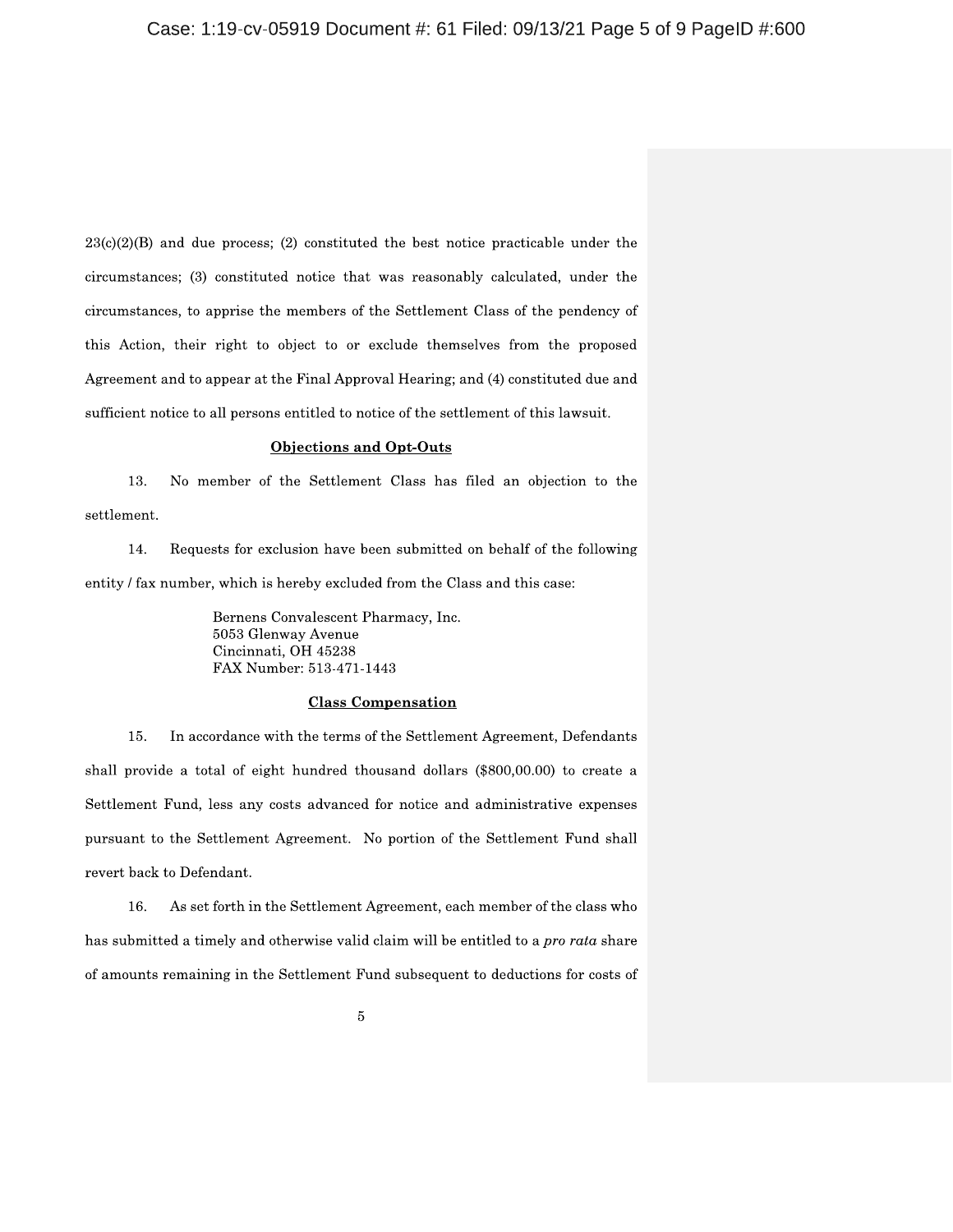$23(c)(2)(B)$  and due process; (2) constituted the best notice practicable under the circumstances; (3) constituted notice that was reasonably calculated, under the circumstances, to apprise the members of the Settlement Class of the pendency of this Action, their right to object to or exclude themselves from the proposed Agreement and to appear at the Final Approval Hearing; and (4) constituted due and sufficient notice to all persons entitled to notice of the settlement of this lawsuit.

#### **Objections and Opt-Outs**

13. No member of the Settlement Class has filed an objection to the settlement.

14. Requests for exclusion have been submitted on behalf of the following entity / fax number, which is hereby excluded from the Class and this case:

> Bernens Convalescent Pharmacy, Inc. 5053 Glenway Avenue Cincinnati, OH 45238 FAX Number: 513-471-1443

## **Class Compensation**

15. In accordance with the terms of the Settlement Agreement, Defendants shall provide a total of eight hundred thousand dollars (\$800,00.00) to create a Settlement Fund, less any costs advanced for notice and administrative expenses pursuant to the Settlement Agreement. No portion of the Settlement Fund shall revert back to Defendant.

As set forth in the Settlement Agreement, each member of the class who 16. has submitted a timely and otherwise valid claim will be entitled to a *pro rata* share of amounts remaining in the Settlement Fund subsequent to deductions for costs of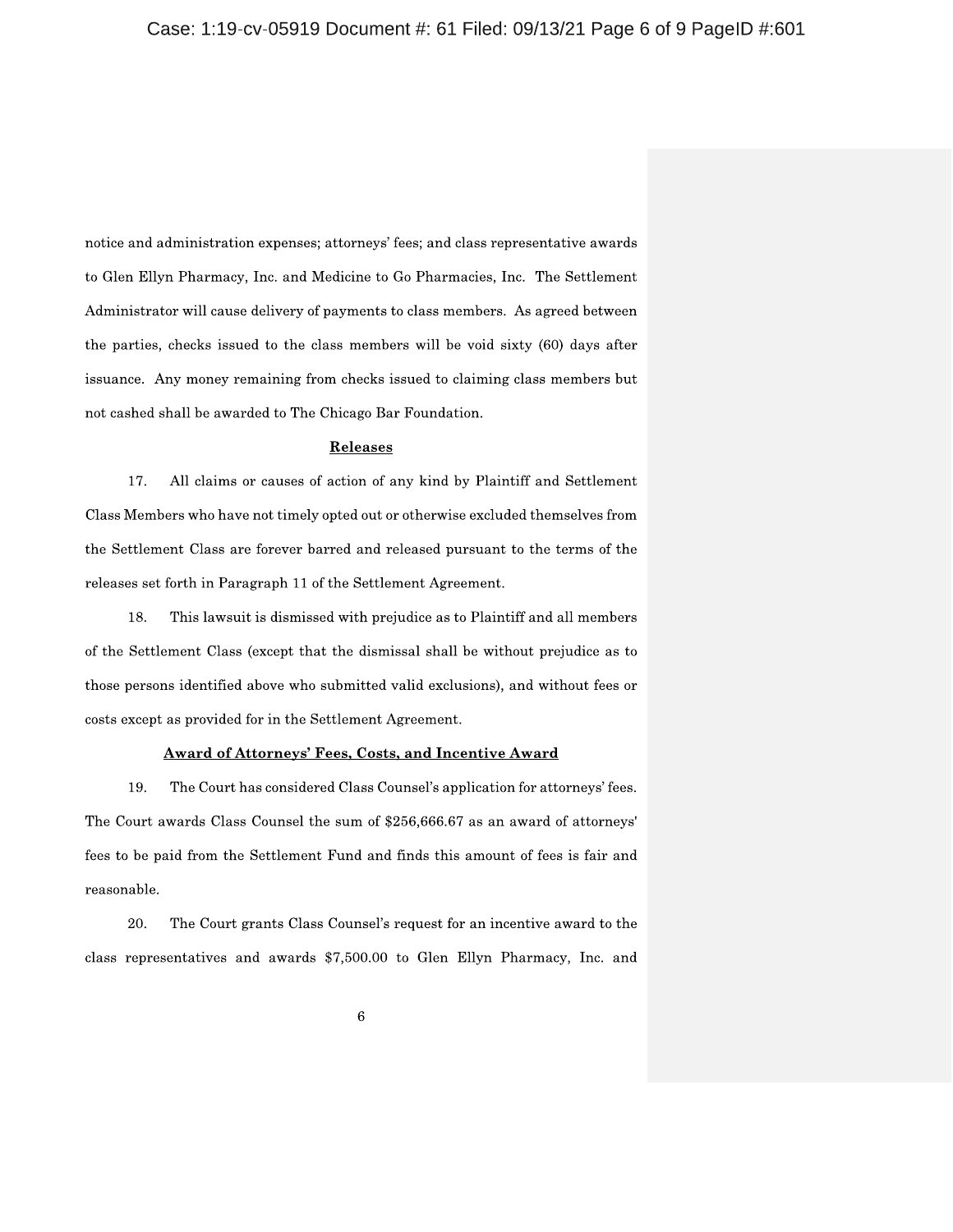notice and administration expenses; attorneys' fees; and class representative awards to Glen Ellyn Pharmacy, Inc. and Medicine to Go Pharmacies, Inc. The Settlement Administrator will cause delivery of payments to class members. As agreed between the parties, checks issued to the class members will be void sixty (60) days after issuance. Any money remaining from checks issued to claiming class members but not cashed shall be awarded to The Chicago Bar Foundation.

### Releases

17. All claims or causes of action of any kind by Plaintiff and Settlement Class Members who have not timely opted out or otherwise excluded themselves from the Settlement Class are forever barred and released pursuant to the terms of the releases set forth in Paragraph 11 of the Settlement Agreement.

18. This lawsuit is dismissed with prejudice as to Plaintiff and all members of the Settlement Class (except that the dismissal shall be without prejudice as to those persons identified above who submitted valid exclusions), and without fees or costs except as provided for in the Settlement Agreement.

# **Award of Attorneys' Fees, Costs, and Incentive Award**

19. The Court has considered Class Counsel's application for attorneys' fees. The Court awards Class Counsel the sum of \$256,666.67 as an award of attorneys' fees to be paid from the Settlement Fund and finds this amount of fees is fair and reasonable.

20. The Court grants Class Counsel's request for an incentive award to the class representatives and awards \$7,500.00 to Glen Ellyn Pharmacy, Inc. and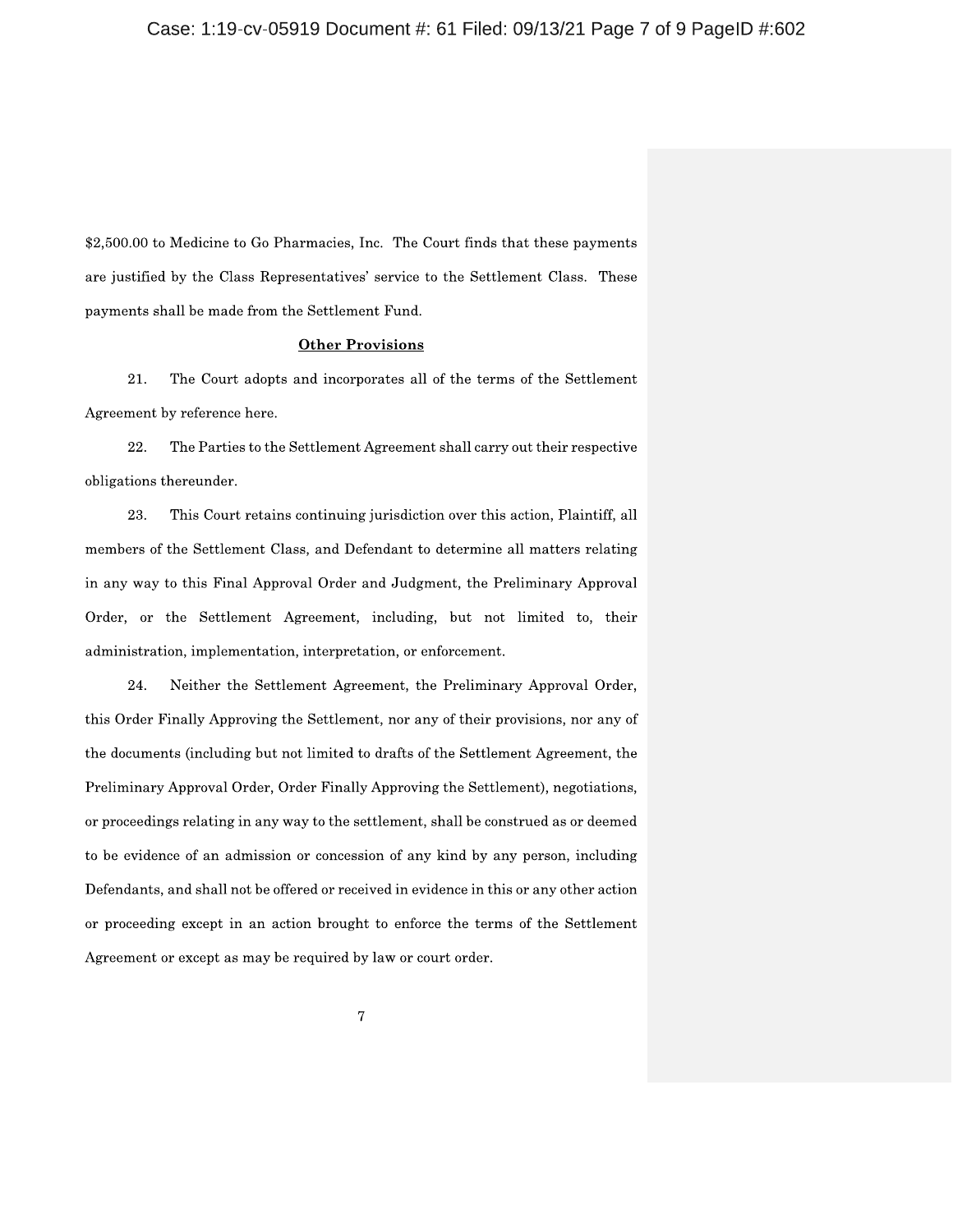\$2,500.00 to Medicine to Go Pharmacies, Inc. The Court finds that these payments are justified by the Class Representatives' service to the Settlement Class. These payments shall be made from the Settlement Fund.

## **Other Provisions**

21. The Court adopts and incorporates all of the terms of the Settlement Agreement by reference here.

The Parties to the Settlement Agreement shall carry out their respective 22. obligations thereunder.

23. This Court retains continuing jurisdiction over this action, Plaintiff, all members of the Settlement Class, and Defendant to determine all matters relating in any way to this Final Approval Order and Judgment, the Preliminary Approval Order, or the Settlement Agreement, including, but not limited to, their administration, implementation, interpretation, or enforcement.

24. Neither the Settlement Agreement, the Preliminary Approval Order, this Order Finally Approving the Settlement, nor any of their provisions, nor any of the documents (including but not limited to drafts of the Settlement Agreement, the Preliminary Approval Order, Order Finally Approving the Settlement), negotiations, or proceedings relating in any way to the settlement, shall be construed as or deemed to be evidence of an admission or concession of any kind by any person, including Defendants, and shall not be offered or received in evidence in this or any other action or proceeding except in an action brought to enforce the terms of the Settlement Agreement or except as may be required by law or court order.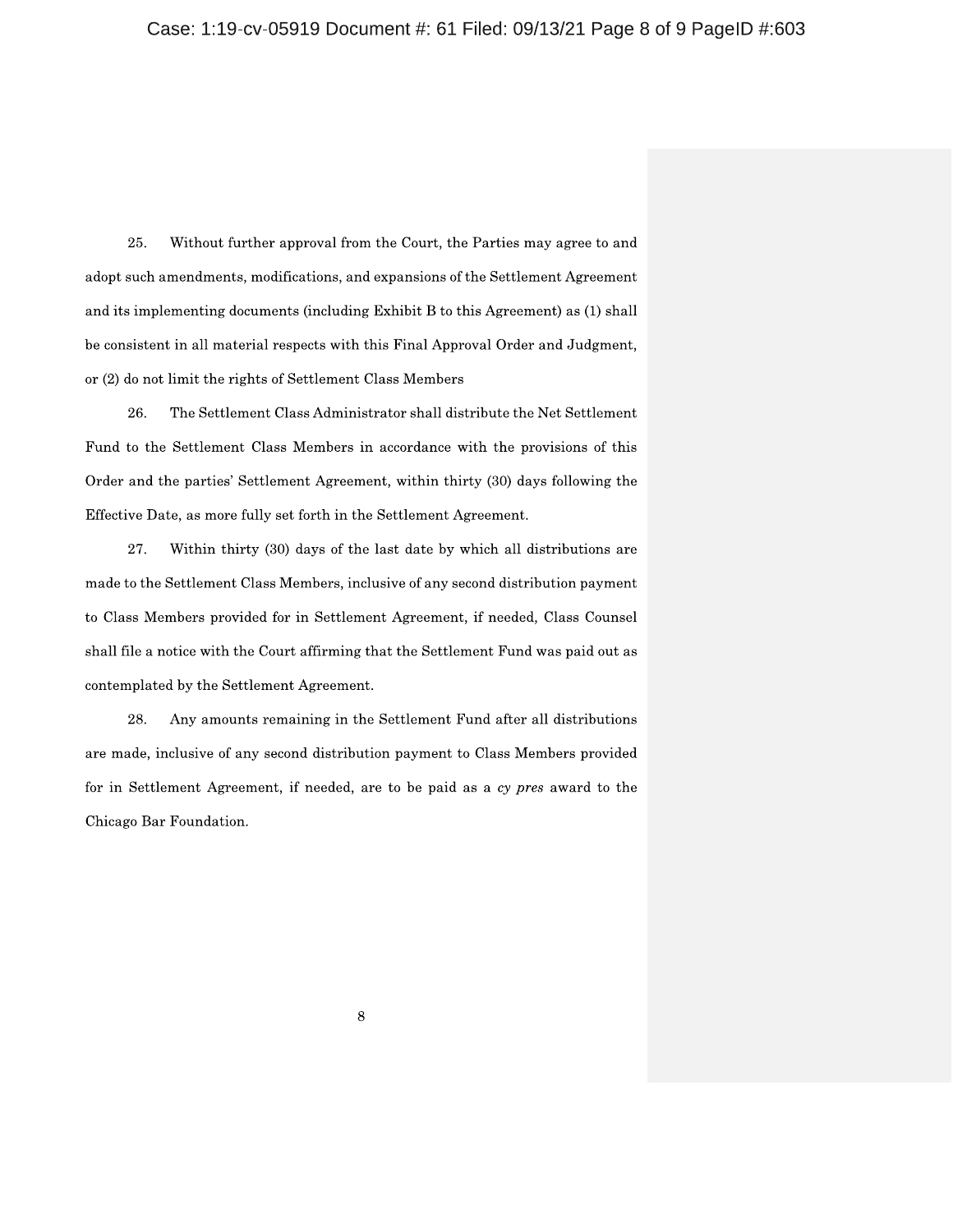25. Without further approval from the Court, the Parties may agree to and adopt such amendments, modifications, and expansions of the Settlement Agreement and its implementing documents (including Exhibit B to this Agreement) as (1) shall be consistent in all material respects with this Final Approval Order and Judgment, or (2) do not limit the rights of Settlement Class Members

26. The Settlement Class Administrator shall distribute the Net Settlement Fund to the Settlement Class Members in accordance with the provisions of this Order and the parties' Settlement Agreement, within thirty (30) days following the Effective Date, as more fully set forth in the Settlement Agreement.

27. Within thirty (30) days of the last date by which all distributions are made to the Settlement Class Members, inclusive of any second distribution payment to Class Members provided for in Settlement Agreement, if needed, Class Counsel shall file a notice with the Court affirming that the Settlement Fund was paid out as contemplated by the Settlement Agreement.

28. Any amounts remaining in the Settlement Fund after all distributions are made, inclusive of any second distribution payment to Class Members provided for in Settlement Agreement, if needed, are to be paid as a cy pres award to the Chicago Bar Foundation.